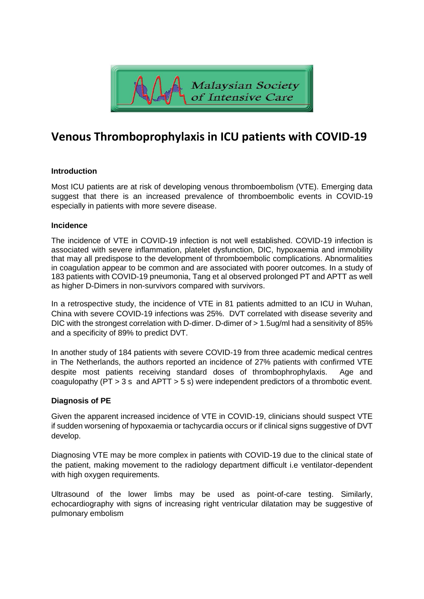

# **Venous Thromboprophylaxis in ICU patients with COVID-19**

## **Introduction**

Most ICU patients are at risk of developing venous thromboembolism (VTE). Emerging data suggest that there is an increased prevalence of thromboembolic events in COVID-19 especially in patients with more severe disease.

## **Incidence**

The incidence of VTE in COVID-19 infection is not well established. COVID-19 infection is associated with severe inflammation, platelet dysfunction, DIC, hypoxaemia and immobility that may all predispose to the development of thromboembolic complications. Abnormalities in coagulation appear to be common and are associated with poorer outcomes. In a study of 183 patients with COVID-19 pneumonia, Tang et al observed prolonged PT and APTT as well as higher D-Dimers in non-survivors compared with survivors.

In a retrospective study, the incidence of VTE in 81 patients admitted to an ICU in Wuhan, China with severe COVID-19 infections was 25%. DVT correlated with disease severity and DIC with the strongest correlation with D-dimer. D-dimer of  $> 1.5$ ug/ml had a sensitivity of 85% and a specificity of 89% to predict DVT.

In another study of 184 patients with severe COVID-19 from three academic medical centres in The Netherlands, the authors reported an incidence of 27% patients with confirmed VTE despite most patients receiving standard doses of thrombophrophylaxis. Age and coagulopathy (PT > 3 s and APTT > 5 s) were independent predictors of a thrombotic event.

# **Diagnosis of PE**

Given the apparent increased incidence of VTE in COVID-19, clinicians should suspect VTE if sudden worsening of hypoxaemia or tachycardia occurs or if clinical signs suggestive of DVT develop.

Diagnosing VTE may be more complex in patients with COVID-19 due to the clinical state of the patient, making movement to the radiology department difficult i.e ventilator-dependent with high oxygen requirements.

Ultrasound of the lower limbs may be used as point-of-care testing. Similarly, echocardiography with signs of increasing right ventricular dilatation may be suggestive of pulmonary embolism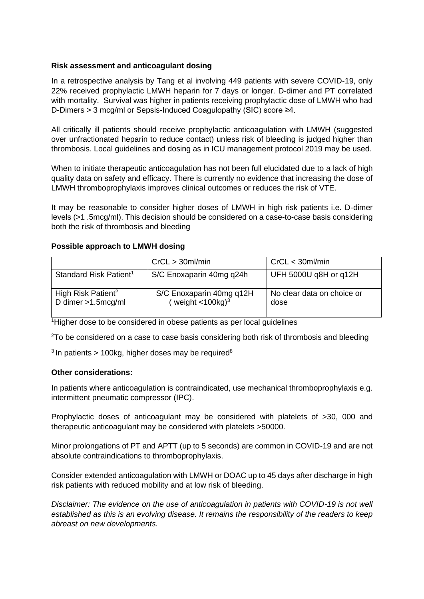#### **Risk assessment and anticoagulant dosing**

In a retrospective analysis by Tang et al involving 449 patients with severe COVID-19, only 22% received prophylactic LMWH heparin for 7 days or longer. D-dimer and PT correlated with mortality. Survival was higher in patients receiving prophylactic dose of LMWH who had D-Dimers > 3 mcg/ml or Sepsis-Induced Coagulopathy (SIC) score ≥4.

All critically ill patients should receive prophylactic anticoagulation with LMWH (suggested over unfractionated heparin to reduce contact) unless risk of bleeding is judged higher than thrombosis. Local guidelines and dosing as in ICU management protocol 2019 may be used.

When to initiate therapeutic anticoagulation has not been full elucidated due to a lack of high quality data on safety and efficacy. There is currently no evidence that increasing the dose of LMWH thromboprophylaxis improves clinical outcomes or reduces the risk of VTE.

It may be reasonable to consider higher doses of LMWH in high risk patients i.e. D-dimer levels (>1 .5mcg/ml). This decision should be considered on a case-to-case basis considering both the risk of thrombosis and bleeding

## **Possible approach to LMWH dosing**

|                                                      | $CrCL > 30$ ml/min                                          | $CrCL < 30$ ml/min                 |
|------------------------------------------------------|-------------------------------------------------------------|------------------------------------|
| Standard Risk Patient <sup>1</sup>                   | S/C Enoxaparin 40mg q24h                                    | UFH 5000U q8H or q12H              |
| High Risk Patient <sup>2</sup><br>D dimer >1.5mcg/ml | S/C Enoxaparin 40mg q12H<br>(weight $<$ 100kg) <sup>3</sup> | No clear data on choice or<br>dose |

<sup>1</sup>Higher dose to be considered in obese patients as per local guidelines

<sup>2</sup>To be considered on a case to case basis considering both risk of thrombosis and bleeding

 $3$  In patients > 100kg, higher doses may be required<sup>8</sup>

#### **Other considerations:**

In patients where anticoagulation is contraindicated, use mechanical thromboprophylaxis e.g. intermittent pneumatic compressor (IPC).

Prophylactic doses of anticoagulant may be considered with platelets of >30, 000 and therapeutic anticoagulant may be considered with platelets >50000.

Minor prolongations of PT and APTT (up to 5 seconds) are common in COVID-19 and are not absolute contraindications to thromboprophylaxis.

Consider extended anticoagulation with LMWH or DOAC up to 45 days after discharge in high risk patients with reduced mobility and at low risk of bleeding.

*Disclaimer: The evidence on the use of anticoagulation in patients with COVID-19 is not well established as this is an evolving disease. It remains the responsibility of the readers to keep abreast on new developments.*